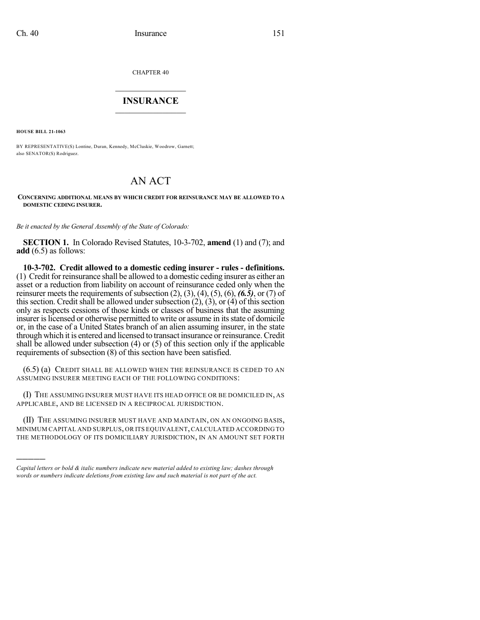CHAPTER 40

## $\mathcal{L}_\text{max}$  . The set of the set of the set of the set of the set of the set of the set of the set of the set of the set of the set of the set of the set of the set of the set of the set of the set of the set of the set **INSURANCE**  $\frac{1}{2}$  ,  $\frac{1}{2}$  ,  $\frac{1}{2}$  ,  $\frac{1}{2}$  ,  $\frac{1}{2}$  ,  $\frac{1}{2}$  ,  $\frac{1}{2}$

**HOUSE BILL 21-1063**

)))))

BY REPRESENTATIVE(S) Lontine, Duran, Kennedy, McCluskie, Woodrow, Garnett; also SENATOR(S) Rodriguez.

# AN ACT

#### **CONCERNING ADDITIONAL MEANS BY WHICH CREDIT FOR REINSURANCE MAY BE ALLOWED TO A DOMESTIC CEDING INSURER.**

*Be it enacted by the General Assembly of the State of Colorado:*

**SECTION 1.** In Colorado Revised Statutes, 10-3-702, **amend** (1) and (7); and **add** (6.5) as follows:

**10-3-702. Credit allowed to a domestic ceding insurer - rules - definitions.** (1) Credit for reinsurance shall be allowed to a domestic ceding insurer as either an asset or a reduction from liability on account of reinsurance ceded only when the reinsurer meets the requirements of subsection (2), (3), (4), (5), (6), *(6.5)*, or (7) of this section. Credit shall be allowed under subsection  $(2)$ ,  $(3)$ , or  $(4)$  of this section only as respects cessions of those kinds or classes of business that the assuming insurer is licensed or otherwise permitted to write or assume in its state of domicile or, in the case of a United States branch of an alien assuming insurer, in the state through which it is entered and licensed to transact insurance orreinsurance.Credit shall be allowed under subsection (4) or (5) of this section only if the applicable requirements of subsection (8) of this section have been satisfied.

(6.5) (a) CREDIT SHALL BE ALLOWED WHEN THE REINSURANCE IS CEDED TO AN ASSUMING INSURER MEETING EACH OF THE FOLLOWING CONDITIONS:

(I) THE ASSUMING INSURER MUST HAVE ITS HEAD OFFICE OR BE DOMICILED IN, AS APPLICABLE, AND BE LICENSED IN A RECIPROCAL JURISDICTION.

(II) THE ASSUMING INSURER MUST HAVE AND MAINTAIN, ON AN ONGOING BASIS, MINIMUM CAPITAL AND SURPLUS, OR ITS EQUIVALENT,CALCULATED ACCORDING TO THE METHODOLOGY OF ITS DOMICILIARY JURISDICTION, IN AN AMOUNT SET FORTH

*Capital letters or bold & italic numbers indicate new material added to existing law; dashes through words or numbers indicate deletions from existing law and such material is not part of the act.*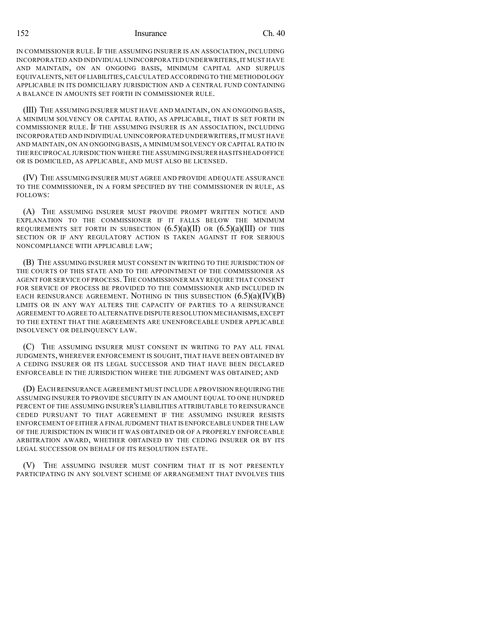152 Insurance Ch. 40

IN COMMISSIONER RULE. IF THE ASSUMING INSURER IS AN ASSOCIATION, INCLUDING INCORPORATED AND INDIVIDUAL UNINCORPORATED UNDERWRITERS,IT MUST HAVE AND MAINTAIN, ON AN ONGOING BASIS, MINIMUM CAPITAL AND SURPLUS EQUIVALENTS,NET OFLIABILITIES,CALCULATED ACCORDINGTO THE METHODOLOGY APPLICABLE IN ITS DOMICILIARY JURISDICTION AND A CENTRAL FUND CONTAINING A BALANCE IN AMOUNTS SET FORTH IN COMMISSIONER RULE.

(III) THE ASSUMING INSURER MUST HAVE AND MAINTAIN, ON AN ONGOING BASIS, A MINIMUM SOLVENCY OR CAPITAL RATIO, AS APPLICABLE, THAT IS SET FORTH IN COMMISSIONER RULE. IF THE ASSUMING INSURER IS AN ASSOCIATION, INCLUDING INCORPORATED AND INDIVIDUAL UNINCORPORATED UNDERWRITERS,IT MUST HAVE AND MAINTAIN, ON AN ONGOING BASIS, A MINIMUM SOLVENCY OR CAPITAL RATIO IN THE RECIPROCAL JURISDICTION WHERE THE ASSUMING INSURER HAS ITS HEAD OFFICE OR IS DOMICILED, AS APPLICABLE, AND MUST ALSO BE LICENSED.

(IV) THE ASSUMING INSURER MUST AGREE AND PROVIDE ADEQUATE ASSURANCE TO THE COMMISSIONER, IN A FORM SPECIFIED BY THE COMMISSIONER IN RULE, AS FOLLOWS:

(A) THE ASSUMING INSURER MUST PROVIDE PROMPT WRITTEN NOTICE AND EXPLANATION TO THE COMMISSIONER IF IT FALLS BELOW THE MINIMUM REQUIREMENTS SET FORTH IN SUBSECTION  $(6.5)(a)(II)$  OR  $(6.5)(a)(III)$  OF THIS SECTION OR IF ANY REGULATORY ACTION IS TAKEN AGAINST IT FOR SERIOUS NONCOMPLIANCE WITH APPLICABLE LAW;

(B) THE ASSUMING INSURER MUST CONSENT IN WRITING TO THE JURISDICTION OF THE COURTS OF THIS STATE AND TO THE APPOINTMENT OF THE COMMISSIONER AS AGENT FOR SERVICE OF PROCESS.THE COMMISSIONER MAY REQUIRE THAT CONSENT FOR SERVICE OF PROCESS BE PROVIDED TO THE COMMISSIONER AND INCLUDED IN EACH REINSURANCE AGREEMENT. NOTHING IN THIS SUBSECTION  $(6.5)(a)(IV)(B)$ LIMITS OR IN ANY WAY ALTERS THE CAPACITY OF PARTIES TO A REINSURANCE AGREEMENT TO AGREE TO ALTERNATIVE DISPUTE RESOLUTION MECHANISMS,EXCEPT TO THE EXTENT THAT THE AGREEMENTS ARE UNENFORCEABLE UNDER APPLICABLE INSOLVENCY OR DELINQUENCY LAW.

(C) THE ASSUMING INSURER MUST CONSENT IN WRITING TO PAY ALL FINAL JUDGMENTS, WHEREVER ENFORCEMENT IS SOUGHT, THAT HAVE BEEN OBTAINED BY A CEDING INSURER OR ITS LEGAL SUCCESSOR AND THAT HAVE BEEN DECLARED ENFORCEABLE IN THE JURISDICTION WHERE THE JUDGMENT WAS OBTAINED; AND

(D) EACH REINSURANCE AGREEMENT MUST INCLUDE A PROVISION REQUIRING THE ASSUMING INSURER TO PROVIDE SECURITY IN AN AMOUNT EQUAL TO ONE HUNDRED PERCENT OF THE ASSUMING INSURER'S LIABILITIES ATTRIBUTABLE TO REINSURANCE CEDED PURSUANT TO THAT AGREEMENT IF THE ASSUMING INSURER RESISTS ENFORCEMENT OF EITHER A FINAL JUDGMENT THAT IS ENFORCEABLE UNDER THE LAW OF THE JURISDICTION IN WHICH IT WAS OBTAINED OR OF A PROPERLY ENFORCEABLE ARBITRATION AWARD, WHETHER OBTAINED BY THE CEDING INSURER OR BY ITS LEGAL SUCCESSOR ON BEHALF OF ITS RESOLUTION ESTATE.

(V) THE ASSUMING INSURER MUST CONFIRM THAT IT IS NOT PRESENTLY PARTICIPATING IN ANY SOLVENT SCHEME OF ARRANGEMENT THAT INVOLVES THIS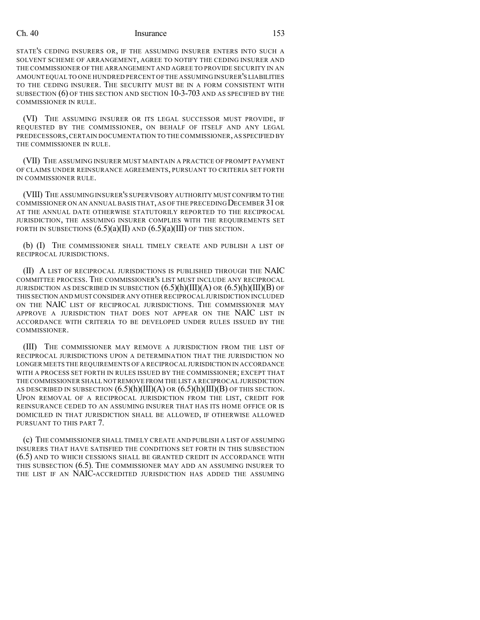### Ch. 40 Insurance 153

STATE'S CEDING INSURERS OR, IF THE ASSUMING INSURER ENTERS INTO SUCH A SOLVENT SCHEME OF ARRANGEMENT, AGREE TO NOTIFY THE CEDING INSURER AND THE COMMISSIONER OF THE ARRANGEMENT AND AGREE TO PROVIDE SECURITY IN AN AMOUNT EQUAL TO ONE HUNDRED PERCENT OFTHE ASSUMING INSURER'S LIABILITIES TO THE CEDING INSURER. THE SECURITY MUST BE IN A FORM CONSISTENT WITH SUBSECTION (6) OF THIS SECTION AND SECTION 10-3-703 AND AS SPECIFIED BY THE COMMISSIONER IN RULE.

(VI) THE ASSUMING INSURER OR ITS LEGAL SUCCESSOR MUST PROVIDE, IF REQUESTED BY THE COMMISSIONER, ON BEHALF OF ITSELF AND ANY LEGAL PREDECESSORS, CERTAIN DOCUMENTATION TO THE COMMISSIONER, AS SPECIFIED BY THE COMMISSIONER IN RULE.

(VII) THE ASSUMING INSURER MUST MAINTAIN A PRACTICE OF PROMPT PAYMENT OF CLAIMS UNDER REINSURANCE AGREEMENTS, PURSUANT TO CRITERIA SET FORTH IN COMMISSIONER RULE.

(VIII) THE ASSUMING INSURER'S SUPERVISORY AUTHORITY MUST CONFIRM TO THE COMMISSIONER ON AN ANNUAL BASIS THAT, AS OF THE PRECEDING DECEMBER 31OR AT THE ANNUAL DATE OTHERWISE STATUTORILY REPORTED TO THE RECIPROCAL JURISDICTION, THE ASSUMING INSURER COMPLIES WITH THE REQUIREMENTS SET FORTH IN SUBSECTIONS  $(6.5)(a)(II)$  AND  $(6.5)(a)(III)$  OF THIS SECTION.

(b) (I) THE COMMISSIONER SHALL TIMELY CREATE AND PUBLISH A LIST OF RECIPROCAL JURISDICTIONS.

(II) A LIST OF RECIPROCAL JURISDICTIONS IS PUBLISHED THROUGH THE NAIC COMMITTEE PROCESS. THE COMMISSIONER'S LIST MUST INCLUDE ANY RECIPROCAL JURISDICTION AS DESCRIBED IN SUBSECTION  $(6.5)(h)(III)(A)$  OR  $(6.5)(h)(III)(B)$  OF THIS SECTION AND MUST CONSIDER ANY OTHER RECIPROCAL JURISDICTION INCLUDED ON THE NAIC LIST OF RECIPROCAL JURISDICTIONS. THE COMMISSIONER MAY APPROVE A JURISDICTION THAT DOES NOT APPEAR ON THE NAIC LIST IN ACCORDANCE WITH CRITERIA TO BE DEVELOPED UNDER RULES ISSUED BY THE COMMISSIONER.

(III) THE COMMISSIONER MAY REMOVE A JURISDICTION FROM THE LIST OF RECIPROCAL JURISDICTIONS UPON A DETERMINATION THAT THE JURISDICTION NO LONGER MEETS THE REQUIREMENTS OF A RECIPROCAL JURISDICTION IN ACCORDANCE WITH A PROCESS SET FORTH IN RULES ISSUED BY THE COMMISSIONER; EXCEPT THAT THE COMMISSIONER SHALL NOT REMOVE FROM THE LIST A RECIPROCAL JURISDICTION AS DESCRIBED IN SUBSECTION  $(6.5)(h)(III)(A)$  OR  $(6.5)(h)(III)(B)$  OF THIS SECTION. UPON REMOVAL OF A RECIPROCAL JURISDICTION FROM THE LIST, CREDIT FOR REINSURANCE CEDED TO AN ASSUMING INSURER THAT HAS ITS HOME OFFICE OR IS DOMICILED IN THAT JURISDICTION SHALL BE ALLOWED, IF OTHERWISE ALLOWED PURSUANT TO THIS PART 7.

(c) THE COMMISSIONER SHALL TIMELY CREATE AND PUBLISH A LIST OF ASSUMING INSURERS THAT HAVE SATISFIED THE CONDITIONS SET FORTH IN THIS SUBSECTION (6.5) AND TO WHICH CESSIONS SHALL BE GRANTED CREDIT IN ACCORDANCE WITH THIS SUBSECTION (6.5). THE COMMISSIONER MAY ADD AN ASSUMING INSURER TO THE LIST IF AN NAIC-ACCREDITED JURISDICTION HAS ADDED THE ASSUMING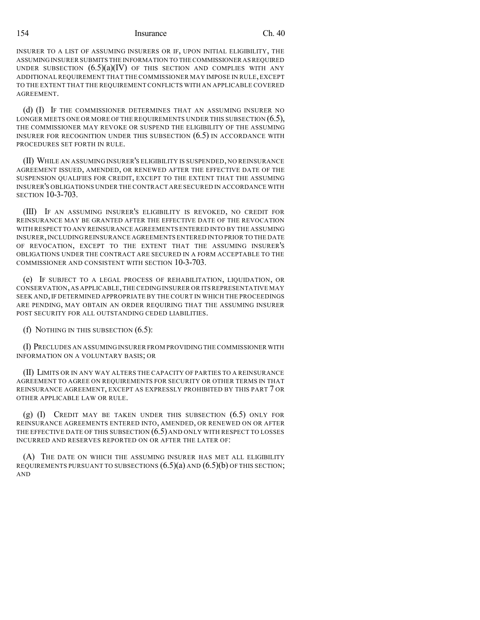### 154 Insurance Ch. 40

INSURER TO A LIST OF ASSUMING INSURERS OR IF, UPON INITIAL ELIGIBILITY, THE ASSUMING INSURER SUBMITS THE INFORMATION TO THECOMMISSIONER ASREQUIRED UNDER SUBSECTION  $(6.5)(a)(IV)$  of this section and complies with any ADDITIONAL REQUIREMENT THAT THE COMMISSIONER MAY IMPOSE IN RULE,EXCEPT TO THE EXTENT THAT THE REQUIREMENT CONFLICTS WITH AN APPLICABLE COVERED AGREEMENT.

(d) (I) IF THE COMMISSIONER DETERMINES THAT AN ASSUMING INSURER NO LONGER MEETS ONE OR MORE OF THE REQUIREMENTS UNDER THIS SUBSECTION  $(6.5)$ , THE COMMISSIONER MAY REVOKE OR SUSPEND THE ELIGIBILITY OF THE ASSUMING INSURER FOR RECOGNITION UNDER THIS SUBSECTION (6.5) IN ACCORDANCE WITH PROCEDURES SET FORTH IN RULE.

(II) WHILE AN ASSUMING INSURER'S ELIGIBILITY IS SUSPENDED, NO REINSURANCE AGREEMENT ISSUED, AMENDED, OR RENEWED AFTER THE EFFECTIVE DATE OF THE SUSPENSION QUALIFIES FOR CREDIT, EXCEPT TO THE EXTENT THAT THE ASSUMING INSURER'S OBLIGATIONS UNDER THE CONTRACT ARE SECURED IN ACCORDANCE WITH SECTION 10-3-703.

(III) IF AN ASSUMING INSURER'S ELIGIBILITY IS REVOKED, NO CREDIT FOR REINSURANCE MAY BE GRANTED AFTER THE EFFECTIVE DATE OF THE REVOCATION WITH RESPECT TO ANY REINSURANCE AGREEMENTS ENTERED INTO BY THE ASSUMING INSURER,INCLUDING REINSURANCE AGREEMENTS ENTERED INTO PRIOR TO THE DATE OF REVOCATION, EXCEPT TO THE EXTENT THAT THE ASSUMING INSURER'S OBLIGATIONS UNDER THE CONTRACT ARE SECURED IN A FORM ACCEPTABLE TO THE COMMISSIONER AND CONSISTENT WITH SECTION 10-3-703.

(e) IF SUBJECT TO A LEGAL PROCESS OF REHABILITATION, LIQUIDATION, OR CONSERVATION,AS APPLICABLE,THE CEDING INSURER OR ITSREPRESENTATIVE MAY SEEK AND, IF DETERMINED APPROPRIATE BY THE COURT IN WHICH THE PROCEEDINGS ARE PENDING, MAY OBTAIN AN ORDER REQUIRING THAT THE ASSUMING INSURER POST SECURITY FOR ALL OUTSTANDING CEDED LIABILITIES.

(f) NOTHING IN THIS SUBSECTION (6.5):

(I) PRECLUDES AN ASSUMING INSURER FROM PROVIDING THE COMMISSIONER WITH INFORMATION ON A VOLUNTARY BASIS; OR

(II) LIMITS OR IN ANY WAY ALTERS THE CAPACITY OF PARTIES TO A REINSURANCE AGREEMENT TO AGREE ON REQUIREMENTS FOR SECURITY OR OTHER TERMS IN THAT REINSURANCE AGREEMENT, EXCEPT AS EXPRESSLY PROHIBITED BY THIS PART 7 OR OTHER APPLICABLE LAW OR RULE.

 $(g)$  (I) CREDIT MAY BE TAKEN UNDER THIS SUBSECTION  $(6.5)$  ONLY FOR REINSURANCE AGREEMENTS ENTERED INTO, AMENDED, OR RENEWED ON OR AFTER THE EFFECTIVE DATE OF THIS SUBSECTION  $(6.5)$  and only with respect to losses INCURRED AND RESERVES REPORTED ON OR AFTER THE LATER OF:

(A) THE DATE ON WHICH THE ASSUMING INSURER HAS MET ALL ELIGIBILITY REQUIREMENTS PURSUANT TO SUBSECTIONS  $(6.5)(a)$  and  $(6.5)(b)$  of this section; AND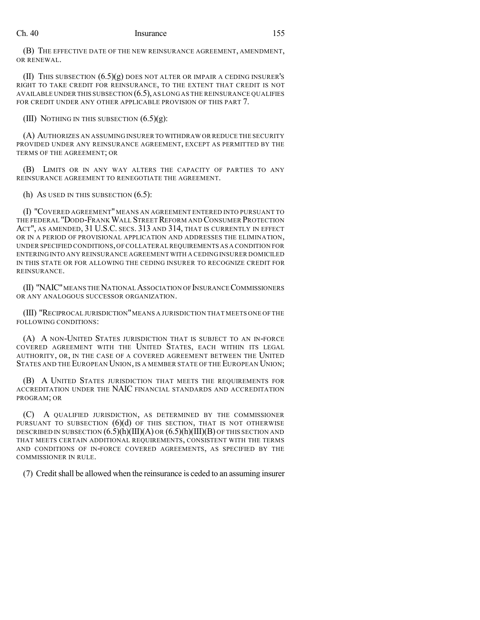## Ch. 40 Insurance 155

(B) THE EFFECTIVE DATE OF THE NEW REINSURANCE AGREEMENT, AMENDMENT, OR RENEWAL.

(II) THIS SUBSECTION (6.5)(g) DOES NOT ALTER OR IMPAIR A CEDING INSURER'S RIGHT TO TAKE CREDIT FOR REINSURANCE, TO THE EXTENT THAT CREDIT IS NOT AVAILABLE UNDER THIS SUBSECTION (6.5),AS LONG AS THE REINSURANCE QUALIFIES FOR CREDIT UNDER ANY OTHER APPLICABLE PROVISION OF THIS PART 7.

(III) NOTHING IN THIS SUBSECTION  $(6.5)(g)$ :

(A) AUTHORIZES AN ASSUMING INSURER TO WITHDRAW OR REDUCE THE SECURITY PROVIDED UNDER ANY REINSURANCE AGREEMENT, EXCEPT AS PERMITTED BY THE TERMS OF THE AGREEMENT; OR

(B) LIMITS OR IN ANY WAY ALTERS THE CAPACITY OF PARTIES TO ANY REINSURANCE AGREEMENT TO RENEGOTIATE THE AGREEMENT.

(h) AS USED IN THIS SUBSECTION (6.5):

(I) "COVERED AGREEMENT"MEANS AN AGREEMENT ENTERED INTO PURSUANT TO THE FEDERAL "DODD-FRANK WALL STREET REFORM AND CONSUMER PROTECTION ACT", AS AMENDED, 31 U.S.C. SECS. 313 AND 314, THAT IS CURRENTLY IN EFFECT OR IN A PERIOD OF PROVISIONAL APPLICATION AND ADDRESSES THE ELIMINATION, UNDER SPECIFIED CONDITIONS,OFCOLLATERAL REQUIREMENTS AS A CONDITION FOR ENTERING INTO ANY REINSURANCE AGREEMENT WITH A CEDING INSURER DOMICILED IN THIS STATE OR FOR ALLOWING THE CEDING INSURER TO RECOGNIZE CREDIT FOR REINSURANCE.

(II) "NAIC" MEANS THE NATIONAL ASSOCIATION OF INSURANCE COMMISSIONERS OR ANY ANALOGOUS SUCCESSOR ORGANIZATION.

(III) "RECIPROCAL JURISDICTION"MEANS A JURISDICTION THAT MEETS ONE OF THE FOLLOWING CONDITIONS:

(A) A NON-UNITED STATES JURISDICTION THAT IS SUBJECT TO AN IN-FORCE COVERED AGREEMENT WITH THE UNITED STATES, EACH WITHIN ITS LEGAL AUTHORITY, OR, IN THE CASE OF A COVERED AGREEMENT BETWEEN THE UNITED STATES AND THE EUROPEAN UNION, IS A MEMBER STATE OF THE EUROPEAN UNION;

(B) A UNITED STATES JURISDICTION THAT MEETS THE REQUIREMENTS FOR ACCREDITATION UNDER THE NAIC FINANCIAL STANDARDS AND ACCREDITATION PROGRAM; OR

(C) A QUALIFIED JURISDICTION, AS DETERMINED BY THE COMMISSIONER PURSUANT TO SUBSECTION  $(6)(d)$  of this section, that is not otherwise DESCRIBED IN SUBSECTION  $(6.5)$ (h)(III)(A) OR  $(6.5)$ (h)(III)(B) OF THIS SECTION AND THAT MEETS CERTAIN ADDITIONAL REQUIREMENTS, CONSISTENT WITH THE TERMS AND CONDITIONS OF IN-FORCE COVERED AGREEMENTS, AS SPECIFIED BY THE COMMISSIONER IN RULE.

(7) Credit shall be allowed when the reinsurance is ceded to an assuming insurer